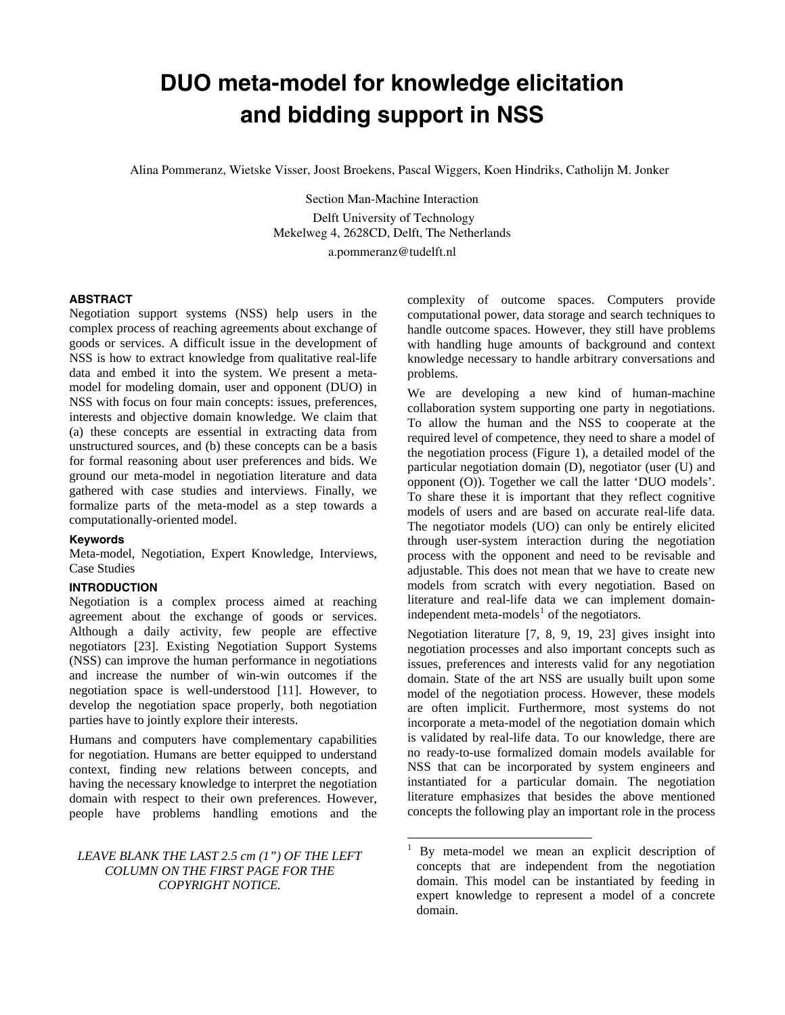# **DUO meta-model for knowledge elicitation and bidding support in NSS**

Alina Pommeranz, Wietske Visser, Joost Broekens, Pascal Wiggers, Koen Hindriks, Catholijn M. Jonker

Section Man-Machine Interaction

 Delft University of Technology Mekelweg 4, 2628CD, Delft, The Netherlands

a.pommeranz@tudelft.nl

-

### **ABSTRACT**

Negotiation support systems (NSS) help users in the complex process of reaching agreements about exchange of goods or services. A difficult issue in the development of NSS is how to extract knowledge from qualitative real-life data and embed it into the system. We present a metamodel for modeling domain, user and opponent (DUO) in NSS with focus on four main concepts: issues, preferences, interests and objective domain knowledge. We claim that (a) these concepts are essential in extracting data from unstructured sources, and (b) these concepts can be a basis for formal reasoning about user preferences and bids. We ground our meta-model in negotiation literature and data gathered with case studies and interviews. Finally, we formalize parts of the meta-model as a step towards a computationally-oriented model.

#### **Keywords**

Meta-model, Negotiation, Expert Knowledge, Interviews, Case Studies

#### **INTRODUCTION**

Negotiation is a complex process aimed at reaching agreement about the exchange of goods or services. Although a daily activity, few people are effective negotiators [23]. Existing Negotiation Support Systems (NSS) can improve the human performance in negotiations and increase the number of win-win outcomes if the negotiation space is well-understood [11]. However, to develop the negotiation space properly, both negotiation parties have to jointly explore their interests.

Humans and computers have complementary capabilities for negotiation. Humans are better equipped to understand context, finding new relations between concepts, and having the necessary knowledge to interpret the negotiation domain with respect to their own preferences. However, people have problems handling emotions and the

## <span id="page-0-0"></span>*LEAVE BLANK THE LAST 2.5 cm (1") OF THE LEFT COLUMN ON THE FIRST PAGE FOR THE COPYRIGHT NOTICE.*

complexity of outcome spaces. Computers provide computational power, data storage and search techniques to handle outcome spaces. However, they still have problems with handling huge amounts of background and context knowledge necessary to handle arbitrary conversations and problems.

We are developing a new kind of human-machine collaboration system supporting one party in negotiations. To allow the human and the NSS to cooperate at the required level of competence, they need to share a model of the negotiation process (Figure 1), a detailed model of the particular negotiation domain (D), negotiator (user (U) and opponent (O)). Together we call the latter 'DUO models'. To share these it is important that they reflect cognitive models of users and are based on accurate real-life data. The negotiator models (UO) can only be entirely elicited through user-system interaction during the negotiation process with the opponent and need to be revisable and adjustable. This does not mean that we have to create new models from scratch with every negotiation. Based on literature and real-life data we can implement domain-independent meta-models<sup>[1](#page-0-0)</sup> of the negotiators.

Negotiation literature [7, 8, 9, 19, 23] gives insight into negotiation processes and also important concepts such as issues, preferences and interests valid for any negotiation domain. State of the art NSS are usually built upon some model of the negotiation process. However, these models are often implicit. Furthermore, most systems do not incorporate a meta-model of the negotiation domain which is validated by real-life data. To our knowledge, there are no ready-to-use formalized domain models available for NSS that can be incorporated by system engineers and instantiated for a particular domain. The negotiation literature emphasizes that besides the above mentioned concepts the following play an important role in the process

<sup>1</sup> By meta-model we mean an explicit description of concepts that are independent from the negotiation domain. This model can be instantiated by feeding in expert knowledge to represent a model of a concrete domain.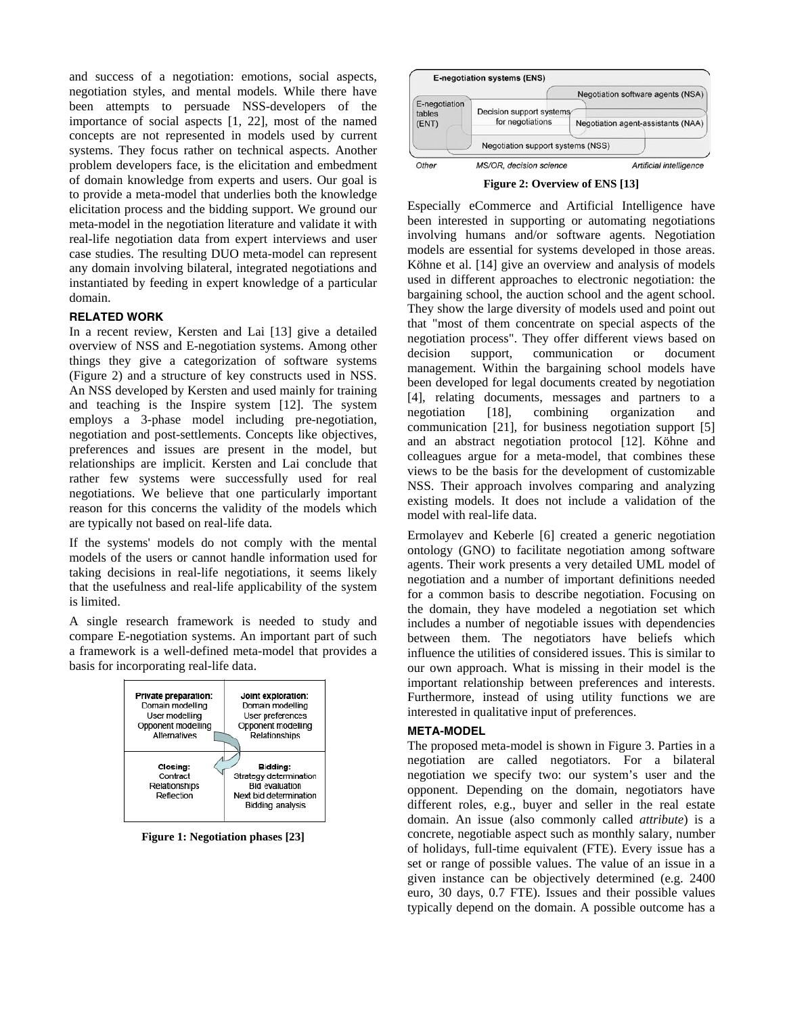and success of a negotiation: emotions, social aspects, negotiation styles, and mental models. While there have been attempts to persuade NSS-developers of the importance of social aspects [1, 22], most of the named concepts are not represented in models used by current systems. They focus rather on technical aspects. Another problem developers face, is the elicitation and embedment of domain knowledge from experts and users. Our goal is to provide a meta-model that underlies both the knowledge elicitation process and the bidding support. We ground our meta-model in the negotiation literature and validate it with real-life negotiation data from expert interviews and user case studies. The resulting DUO meta-model can represent any domain involving bilateral, integrated negotiations and instantiated by feeding in expert knowledge of a particular domain.

### **RELATED WORK**

In a recent review, Kersten and Lai [13] give a detailed overview of NSS and E-negotiation systems. Among other things they give a categorization of software systems (Figure 2) and a structure of key constructs used in NSS. An NSS developed by Kersten and used mainly for training and teaching is the Inspire system [12]. The system employs a 3-phase model including pre-negotiation, negotiation and post-settlements. Concepts like objectives, preferences and issues are present in the model, but relationships are implicit. Kersten and Lai conclude that rather few systems were successfully used for real negotiations. We believe that one particularly important reason for this concerns the validity of the models which are typically not based on real-life data.

If the systems' models do not comply with the mental models of the users or cannot handle information used for taking decisions in real-life negotiations, it seems likely that the usefulness and real-life applicability of the system is limited.

A single research framework is needed to study and compare E-negotiation systems. An important part of such a framework is a well-defined meta-model that provides a basis for incorporating real-life data.



**Figure 1: Negotiation phases [23]** 



**Figure 2: Overview of ENS [13]**

Especially eCommerce and Artificial Intelligence have been interested in supporting or automating negotiations involving humans and/or software agents. Negotiation models are essential for systems developed in those areas. Köhne et al. [14] give an overview and analysis of models used in different approaches to electronic negotiation: the bargaining school, the auction school and the agent school. They show the large diversity of models used and point out that "most of them concentrate on special aspects of the negotiation process". They offer different views based on decision support, communication or document management. Within the bargaining school models have been developed for legal documents created by negotiation [4], relating documents, messages and partners to a negotiation [18], combining organization and communication [21], for business negotiation support [5] and an abstract negotiation protocol [12]. Köhne and colleagues argue for a meta-model, that combines these views to be the basis for the development of customizable NSS. Their approach involves comparing and analyzing existing models. It does not include a validation of the model with real-life data.

Ermolayev and Keberle [6] created a generic negotiation ontology (GNO) to facilitate negotiation among software agents. Their work presents a very detailed UML model of negotiation and a number of important definitions needed for a common basis to describe negotiation. Focusing on the domain, they have modeled a negotiation set which includes a number of negotiable issues with dependencies between them. The negotiators have beliefs which influence the utilities of considered issues. This is similar to our own approach. What is missing in their model is the important relationship between preferences and interests. Furthermore, instead of using utility functions we are interested in qualitative input of preferences.

#### **META-MODEL**

The proposed meta-model is shown in Figure 3. Parties in a negotiation are called negotiators. For a bilateral negotiation we specify two: our system's user and the opponent. Depending on the domain, negotiators have different roles, e.g., buyer and seller in the real estate domain. An issue (also commonly called *attribute*) is a concrete, negotiable aspect such as monthly salary, number of holidays, full-time equivalent (FTE). Every issue has a set or range of possible values. The value of an issue in a given instance can be objectively determined (e.g. 2400 euro, 30 days, 0.7 FTE). Issues and their possible values typically depend on the domain. A possible outcome has a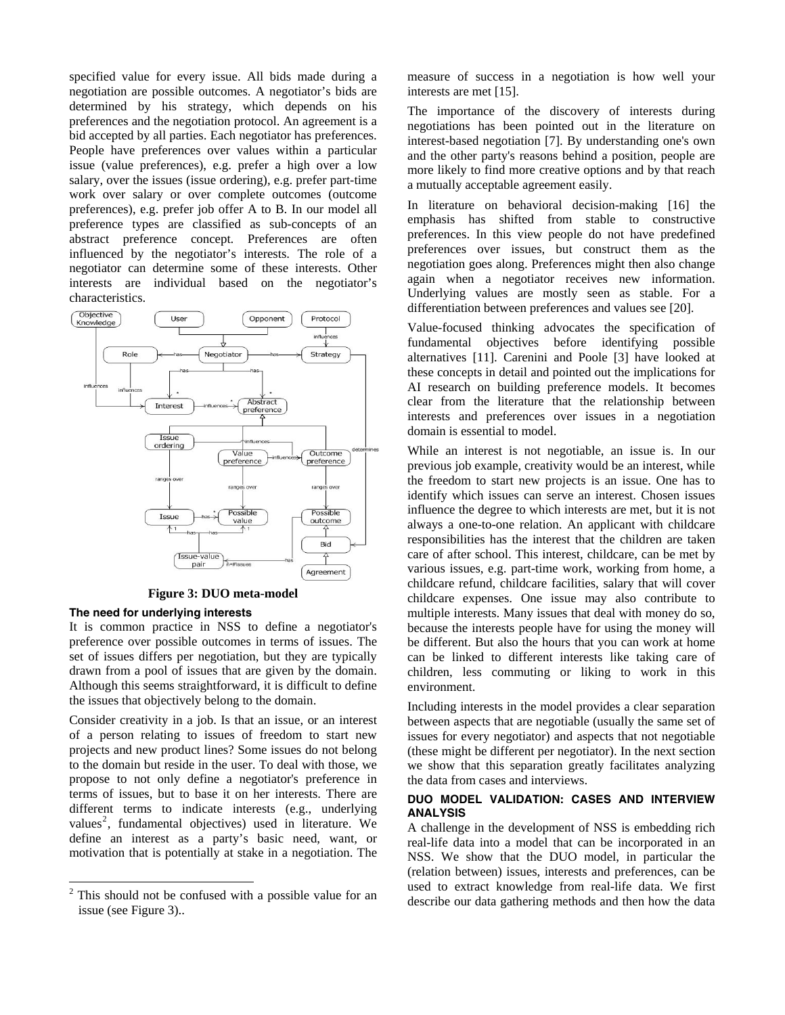specified value for every issue. All bids made during a negotiation are possible outcomes. A negotiator's bids are determined by his strategy, which depends on his preferences and the negotiation protocol. An agreement is a bid accepted by all parties. Each negotiator has preferences. People have preferences over values within a particular issue (value preferences), e.g. prefer a high over a low salary, over the issues (issue ordering), e.g. prefer part-time work over salary or over complete outcomes (outcome preferences), e.g. prefer job offer A to B. In our model all preference types are classified as sub-concepts of an abstract preference concept. Preferences are often influenced by the negotiator's interests. The role of a negotiator can determine some of these interests. Other interests are individual based on the negotiator's characteristics.



**Figure 3: DUO meta-model** 

## **The need for underlying interests**

l

It is common practice in NSS to define a negotiator's preference over possible outcomes in terms of issues. The set of issues differs per negotiation, but they are typically drawn from a pool of issues that are given by the domain. Although this seems straightforward, it is difficult to define the issues that objectively belong to the domain.

Consider creativity in a job. Is that an issue, or an interest of a person relating to issues of freedom to start new projects and new product lines? Some issues do not belong to the domain but reside in the user. To deal with those, we propose to not only define a negotiator's preference in terms of issues, but to base it on her interests. There are different terms to indicate interests (e.g., underlying values<sup>[2](#page-2-0)</sup>, fundamental objectives) used in literature. We define an interest as a party's basic need, want, or motivation that is potentially at stake in a negotiation. The measure of success in a negotiation is how well your interests are met [15].

The importance of the discovery of interests during negotiations has been pointed out in the literature on interest-based negotiation [7]. By understanding one's own and the other party's reasons behind a position, people are more likely to find more creative options and by that reach a mutually acceptable agreement easily.

In literature on behavioral decision-making [16] the emphasis has shifted from stable to constructive preferences. In this view people do not have predefined preferences over issues, but construct them as the negotiation goes along. Preferences might then also change again when a negotiator receives new information. Underlying values are mostly seen as stable. For a differentiation between preferences and values see [20].

Value-focused thinking advocates the specification of fundamental objectives before identifying possible alternatives [11]. Carenini and Poole [3] have looked at these concepts in detail and pointed out the implications for AI research on building preference models. It becomes clear from the literature that the relationship between interests and preferences over issues in a negotiation domain is essential to model.

While an interest is not negotiable, an issue is. In our previous job example, creativity would be an interest, while the freedom to start new projects is an issue. One has to identify which issues can serve an interest. Chosen issues influence the degree to which interests are met, but it is not always a one-to-one relation. An applicant with childcare responsibilities has the interest that the children are taken care of after school. This interest, childcare, can be met by various issues, e.g. part-time work, working from home, a childcare refund, childcare facilities, salary that will cover childcare expenses. One issue may also contribute to multiple interests. Many issues that deal with money do so, because the interests people have for using the money will be different. But also the hours that you can work at home can be linked to different interests like taking care of children, less commuting or liking to work in this environment.

Including interests in the model provides a clear separation between aspects that are negotiable (usually the same set of issues for every negotiator) and aspects that not negotiable (these might be different per negotiator). In the next section we show that this separation greatly facilitates analyzing the data from cases and interviews.

## **DUO MODEL VALIDATION: CASES AND INTERVIEW ANALYSIS**

A challenge in the development of NSS is embedding rich real-life data into a model that can be incorporated in an NSS. We show that the DUO model, in particular the (relation between) issues, interests and preferences, can be used to extract knowledge from real-life data. We first describe our data gathering methods and then how the data

<span id="page-2-0"></span><sup>&</sup>lt;sup>2</sup> This should not be confused with a possible value for an issue (see Figure 3)..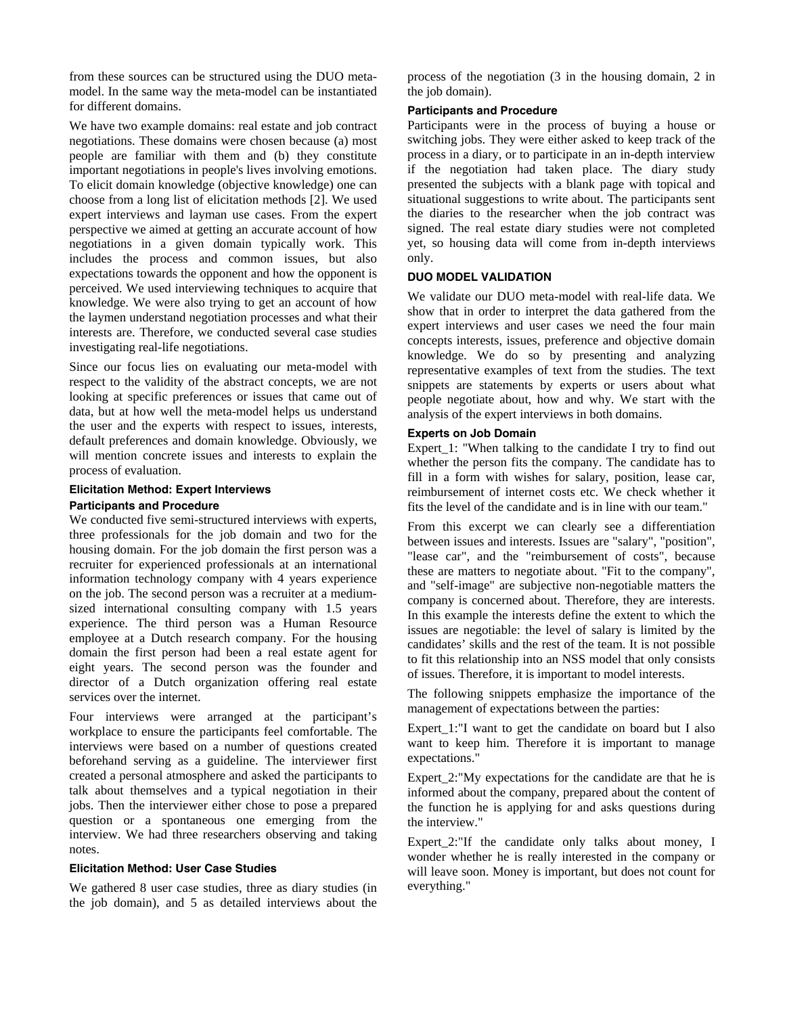from these sources can be structured using the DUO metamodel. In the same way the meta-model can be instantiated for different domains.

We have two example domains: real estate and job contract negotiations. These domains were chosen because (a) most people are familiar with them and (b) they constitute important negotiations in people's lives involving emotions. To elicit domain knowledge (objective knowledge) one can choose from a long list of elicitation methods [2]. We used expert interviews and layman use cases. From the expert perspective we aimed at getting an accurate account of how negotiations in a given domain typically work. This includes the process and common issues, but also expectations towards the opponent and how the opponent is perceived. We used interviewing techniques to acquire that knowledge. We were also trying to get an account of how the laymen understand negotiation processes and what their interests are. Therefore, we conducted several case studies investigating real-life negotiations.

Since our focus lies on evaluating our meta-model with respect to the validity of the abstract concepts, we are not looking at specific preferences or issues that came out of data, but at how well the meta-model helps us understand the user and the experts with respect to issues, interests, default preferences and domain knowledge. Obviously, we will mention concrete issues and interests to explain the process of evaluation.

## **Elicitation Method: Expert Interviews Participants and Procedure**

We conducted five semi-structured interviews with experts, three professionals for the job domain and two for the housing domain. For the job domain the first person was a recruiter for experienced professionals at an international information technology company with 4 years experience on the job. The second person was a recruiter at a mediumsized international consulting company with 1.5 years experience. The third person was a Human Resource employee at a Dutch research company. For the housing domain the first person had been a real estate agent for eight years. The second person was the founder and director of a Dutch organization offering real estate services over the internet.

Four interviews were arranged at the participant's workplace to ensure the participants feel comfortable. The interviews were based on a number of questions created beforehand serving as a guideline. The interviewer first created a personal atmosphere and asked the participants to talk about themselves and a typical negotiation in their jobs. Then the interviewer either chose to pose a prepared question or a spontaneous one emerging from the interview. We had three researchers observing and taking notes.

## **Elicitation Method: User Case Studies**

We gathered 8 user case studies, three as diary studies (in the job domain), and 5 as detailed interviews about the

process of the negotiation (3 in the housing domain, 2 in the job domain).

## **Participants and Procedure**

Participants were in the process of buying a house or switching jobs. They were either asked to keep track of the process in a diary, or to participate in an in-depth interview if the negotiation had taken place. The diary study presented the subjects with a blank page with topical and situational suggestions to write about. The participants sent the diaries to the researcher when the job contract was signed. The real estate diary studies were not completed yet, so housing data will come from in-depth interviews only.

## **DUO MODEL VALIDATION**

We validate our DUO meta-model with real-life data. We show that in order to interpret the data gathered from the expert interviews and user cases we need the four main concepts interests, issues, preference and objective domain knowledge. We do so by presenting and analyzing representative examples of text from the studies. The text snippets are statements by experts or users about what people negotiate about, how and why. We start with the analysis of the expert interviews in both domains.

## **Experts on Job Domain**

Expert\_1: "When talking to the candidate I try to find out whether the person fits the company. The candidate has to fill in a form with wishes for salary, position, lease car, reimbursement of internet costs etc. We check whether it fits the level of the candidate and is in line with our team."

From this excerpt we can clearly see a differentiation between issues and interests. Issues are "salary", "position", "lease car", and the "reimbursement of costs", because these are matters to negotiate about. "Fit to the company", and "self-image" are subjective non-negotiable matters the company is concerned about. Therefore, they are interests. In this example the interests define the extent to which the issues are negotiable: the level of salary is limited by the candidates' skills and the rest of the team. It is not possible to fit this relationship into an NSS model that only consists of issues. Therefore, it is important to model interests.

The following snippets emphasize the importance of the management of expectations between the parties:

Expert 1:"I want to get the candidate on board but I also want to keep him. Therefore it is important to manage expectations."

Expert 2:"My expectations for the candidate are that he is informed about the company, prepared about the content of the function he is applying for and asks questions during the interview."

Expert 2:"If the candidate only talks about money, I wonder whether he is really interested in the company or will leave soon. Money is important, but does not count for everything."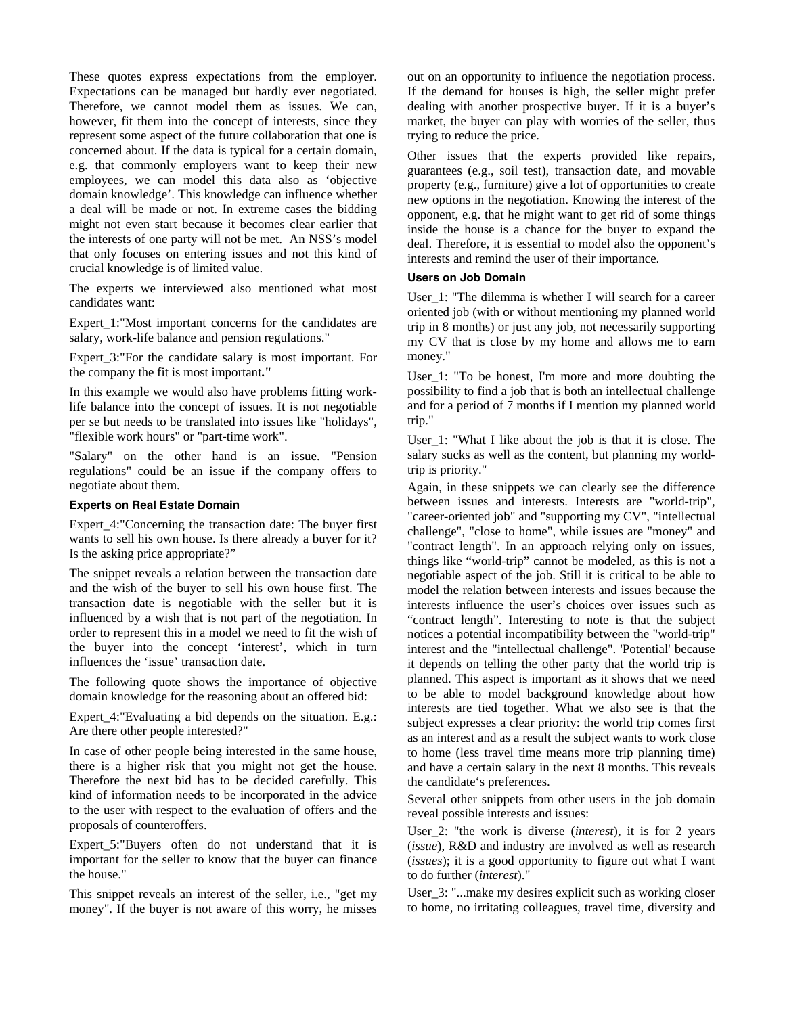These quotes express expectations from the employer. Expectations can be managed but hardly ever negotiated. Therefore, we cannot model them as issues. We can, however, fit them into the concept of interests, since they represent some aspect of the future collaboration that one is concerned about. If the data is typical for a certain domain, e.g. that commonly employers want to keep their new employees, we can model this data also as 'objective domain knowledge'. This knowledge can influence whether a deal will be made or not. In extreme cases the bidding might not even start because it becomes clear earlier that the interests of one party will not be met. An NSS's model that only focuses on entering issues and not this kind of crucial knowledge is of limited value.

The experts we interviewed also mentioned what most candidates want:

Expert\_1:"Most important concerns for the candidates are salary, work-life balance and pension regulations."

Expert\_3:"For the candidate salary is most important. For the company the fit is most important**."** 

In this example we would also have problems fitting worklife balance into the concept of issues. It is not negotiable per se but needs to be translated into issues like "holidays", "flexible work hours" or "part-time work".

"Salary" on the other hand is an issue. "Pension regulations" could be an issue if the company offers to negotiate about them.

#### **Experts on Real Estate Domain**

Expert 4:"Concerning the transaction date: The buyer first wants to sell his own house. Is there already a buyer for it? Is the asking price appropriate?"

The snippet reveals a relation between the transaction date and the wish of the buyer to sell his own house first. The transaction date is negotiable with the seller but it is influenced by a wish that is not part of the negotiation. In order to represent this in a model we need to fit the wish of the buyer into the concept 'interest', which in turn influences the 'issue' transaction date.

The following quote shows the importance of objective domain knowledge for the reasoning about an offered bid:

Expert 4: "Evaluating a bid depends on the situation. E.g.: Are there other people interested?"

In case of other people being interested in the same house, there is a higher risk that you might not get the house. Therefore the next bid has to be decided carefully. This kind of information needs to be incorporated in the advice to the user with respect to the evaluation of offers and the proposals of counteroffers.

Expert\_5:"Buyers often do not understand that it is important for the seller to know that the buyer can finance the house."

This snippet reveals an interest of the seller, i.e., "get my money". If the buyer is not aware of this worry, he misses

out on an opportunity to influence the negotiation process. If the demand for houses is high, the seller might prefer dealing with another prospective buyer. If it is a buyer's market, the buyer can play with worries of the seller, thus trying to reduce the price.

Other issues that the experts provided like repairs, guarantees (e.g., soil test), transaction date, and movable property (e.g., furniture) give a lot of opportunities to create new options in the negotiation. Knowing the interest of the opponent, e.g. that he might want to get rid of some things inside the house is a chance for the buyer to expand the deal. Therefore, it is essential to model also the opponent's interests and remind the user of their importance.

## **Users on Job Domain**

User 1: "The dilemma is whether I will search for a career oriented job (with or without mentioning my planned world trip in 8 months) or just any job, not necessarily supporting my CV that is close by my home and allows me to earn money."

User 1: "To be honest, I'm more and more doubting the possibility to find a job that is both an intellectual challenge and for a period of 7 months if I mention my planned world trip."

User\_1: "What I like about the job is that it is close. The salary sucks as well as the content, but planning my worldtrip is priority."

Again, in these snippets we can clearly see the difference between issues and interests. Interests are "world-trip", "career-oriented job" and "supporting my CV", "intellectual challenge", "close to home", while issues are "money" and "contract length". In an approach relying only on issues, things like "world-trip" cannot be modeled, as this is not a negotiable aspect of the job. Still it is critical to be able to model the relation between interests and issues because the interests influence the user's choices over issues such as "contract length". Interesting to note is that the subject notices a potential incompatibility between the "world-trip" interest and the "intellectual challenge". 'Potential' because it depends on telling the other party that the world trip is planned. This aspect is important as it shows that we need to be able to model background knowledge about how interests are tied together. What we also see is that the subject expresses a clear priority: the world trip comes first as an interest and as a result the subject wants to work close to home (less travel time means more trip planning time) and have a certain salary in the next 8 months. This reveals the candidate's preferences.

Several other snippets from other users in the job domain reveal possible interests and issues:

User\_2: "the work is diverse (*interest*), it is for 2 years (*issue*), R&D and industry are involved as well as research (*issues*); it is a good opportunity to figure out what I want to do further (*interest*)."

User 3: "...make my desires explicit such as working closer to home, no irritating colleagues, travel time, diversity and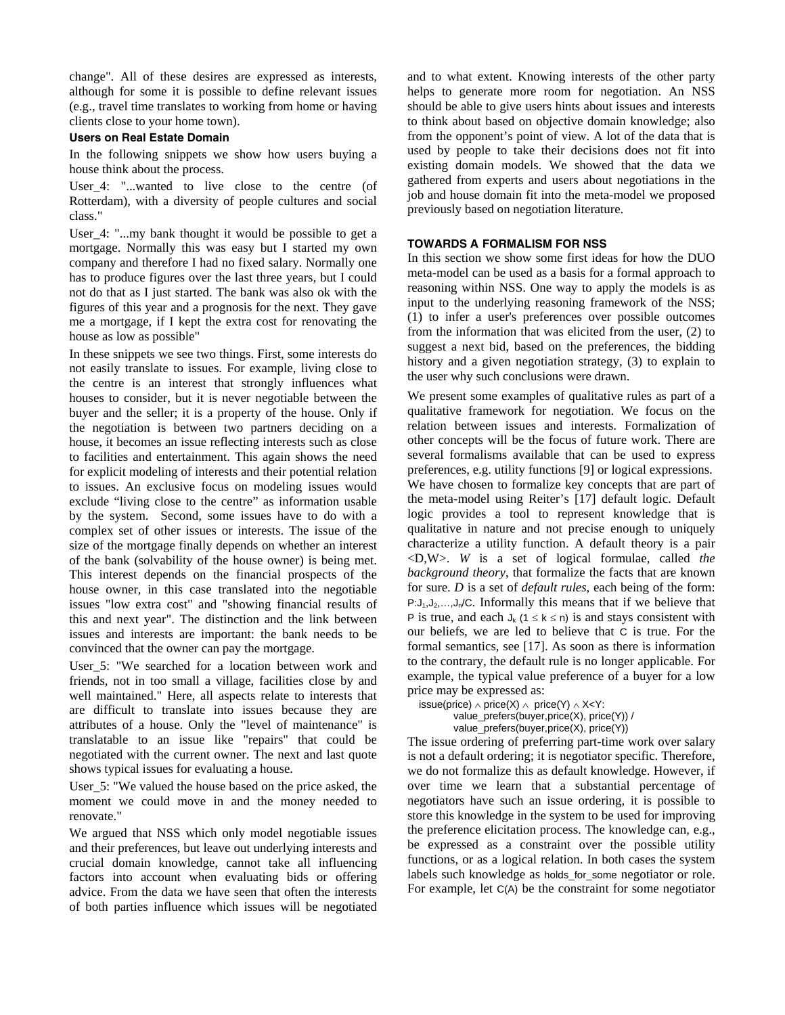change". All of these desires are expressed as interests, although for some it is possible to define relevant issues (e.g., travel time translates to working from home or having clients close to your home town).

## **Users on Real Estate Domain**

In the following snippets we show how users buying a house think about the process.

User 4: "...wanted to live close to the centre (of Rotterdam), with a diversity of people cultures and social class."

User 4: "...my bank thought it would be possible to get a mortgage. Normally this was easy but I started my own company and therefore I had no fixed salary. Normally one has to produce figures over the last three years, but I could not do that as I just started. The bank was also ok with the figures of this year and a prognosis for the next. They gave me a mortgage, if I kept the extra cost for renovating the house as low as possible"

In these snippets we see two things. First, some interests do not easily translate to issues. For example, living close to the centre is an interest that strongly influences what houses to consider, but it is never negotiable between the buyer and the seller; it is a property of the house. Only if the negotiation is between two partners deciding on a house, it becomes an issue reflecting interests such as close to facilities and entertainment. This again shows the need for explicit modeling of interests and their potential relation to issues. An exclusive focus on modeling issues would exclude "living close to the centre" as information usable by the system. Second, some issues have to do with a complex set of other issues or interests. The issue of the size of the mortgage finally depends on whether an interest of the bank (solvability of the house owner) is being met. This interest depends on the financial prospects of the house owner, in this case translated into the negotiable issues "low extra cost" and "showing financial results of this and next year". The distinction and the link between issues and interests are important: the bank needs to be convinced that the owner can pay the mortgage.

User 5: "We searched for a location between work and friends, not in too small a village, facilities close by and well maintained." Here, all aspects relate to interests that are difficult to translate into issues because they are attributes of a house. Only the "level of maintenance" is translatable to an issue like "repairs" that could be negotiated with the current owner. The next and last quote shows typical issues for evaluating a house.

User\_5: "We valued the house based on the price asked, the moment we could move in and the money needed to renovate."

We argued that NSS which only model negotiable issues and their preferences, but leave out underlying interests and crucial domain knowledge, cannot take all influencing factors into account when evaluating bids or offering advice. From the data we have seen that often the interests of both parties influence which issues will be negotiated

and to what extent. Knowing interests of the other party helps to generate more room for negotiation. An NSS should be able to give users hints about issues and interests to think about based on objective domain knowledge; also from the opponent's point of view. A lot of the data that is used by people to take their decisions does not fit into existing domain models. We showed that the data we gathered from experts and users about negotiations in the job and house domain fit into the meta-model we proposed previously based on negotiation literature.

### **TOWARDS A FORMALISM FOR NSS**

In this section we show some first ideas for how the DUO meta-model can be used as a basis for a formal approach to reasoning within NSS. One way to apply the models is as input to the underlying reasoning framework of the NSS; (1) to infer a user's preferences over possible outcomes from the information that was elicited from the user, (2) to suggest a next bid, based on the preferences, the bidding history and a given negotiation strategy, (3) to explain to the user why such conclusions were drawn.

We present some examples of qualitative rules as part of a qualitative framework for negotiation. We focus on the relation between issues and interests. Formalization of other concepts will be the focus of future work. There are several formalisms available that can be used to express preferences, e.g. utility functions [9] or logical expressions. We have chosen to formalize key concepts that are part of the meta-model using Reiter's [17] default logic. Default logic provides a tool to represent knowledge that is qualitative in nature and not precise enough to uniquely characterize a utility function. A default theory is a pair <D,W>. *W* is a set of logical formulae, called *the background theory*, that formalize the facts that are known for sure. *D* is a set of *default rules*, each being of the form:  $P:J_1,J_2,...,J_n/C$ . Informally this means that if we believe that P is true, and each  $J_k$  (1  $\leq$  k  $\leq$  n) is and stays consistent with our beliefs, we are led to believe that C is true. For the formal semantics, see [17]. As soon as there is information to the contrary, the default rule is no longer applicable. For example, the typical value preference of a buyer for a low price may be expressed as:

issue(price)  $\land$  price(X)  $\land$  price(Y)  $\land$  X<Y: value\_prefers(buyer,price(X), price(Y)) / value\_prefers(buyer,price(X), price(Y))

The issue ordering of preferring part-time work over salary is not a default ordering; it is negotiator specific. Therefore, we do not formalize this as default knowledge. However, if over time we learn that a substantial percentage of negotiators have such an issue ordering, it is possible to store this knowledge in the system to be used for improving the preference elicitation process. The knowledge can, e.g., be expressed as a constraint over the possible utility functions, or as a logical relation. In both cases the system labels such knowledge as holds\_for\_some negotiator or role. For example, let C(A) be the constraint for some negotiator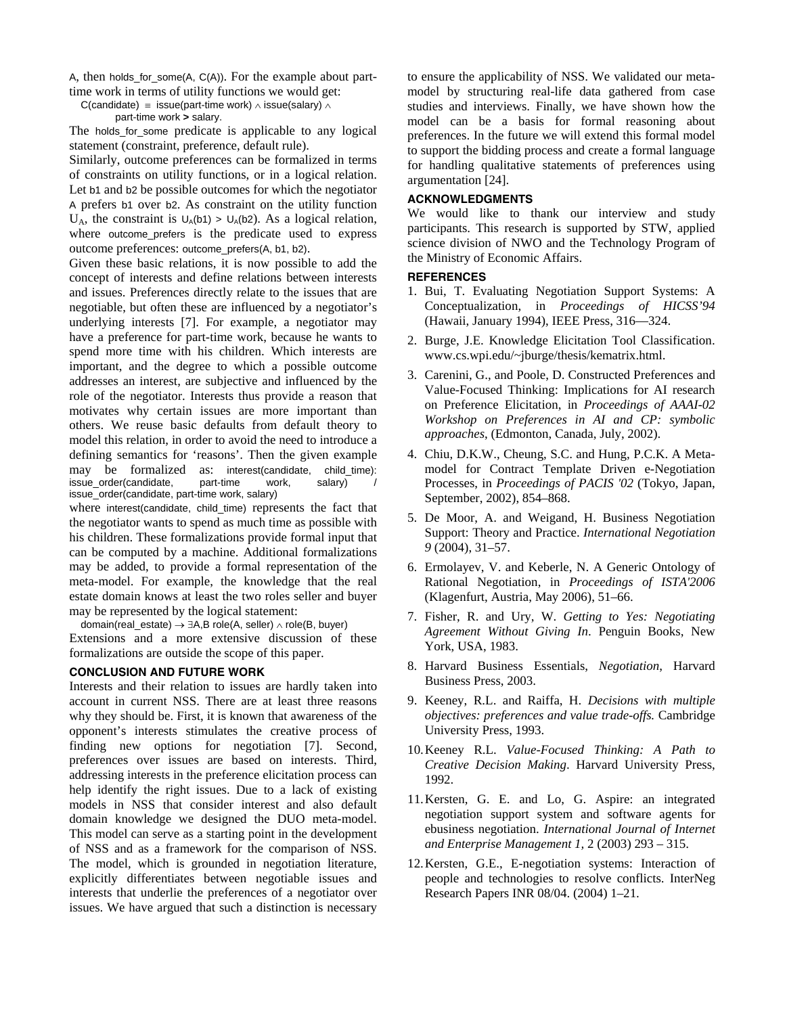A, then holds\_for\_some(A, C(A)). For the example about parttime work in terms of utility functions we would get:

C(candidate) = issue(part-time work)  $\land$  issue(salary)  $\land$ 

part-time work **>** salary.

The holds\_for\_some predicate is applicable to any logical statement (constraint, preference, default rule).

Similarly, outcome preferences can be formalized in terms of constraints on utility functions, or in a logical relation. Let b1 and b2 be possible outcomes for which the negotiator A prefers b1 over b2. As constraint on the utility function  $U_A$ , the constraint is  $U_A(b1) > U_A(b2)$ . As a logical relation, where outcome\_prefers is the predicate used to express outcome preferences: outcome\_prefers(A, b1, b2).

Given these basic relations, it is now possible to add the concept of interests and define relations between interests and issues. Preferences directly relate to the issues that are negotiable, but often these are influenced by a negotiator's underlying interests [7]. For example, a negotiator may have a preference for part-time work, because he wants to spend more time with his children. Which interests are important, and the degree to which a possible outcome addresses an interest, are subjective and influenced by the role of the negotiator. Interests thus provide a reason that motivates why certain issues are more important than others. We reuse basic defaults from default theory to model this relation, in order to avoid the need to introduce a defining semantics for 'reasons'. Then the given example may be formalized as: interest(candidate, child\_time): issue\_order(candidate, part-time work, salary) issue\_order(candidate, part-time work, salary)

where interest(candidate, child\_time) represents the fact that the negotiator wants to spend as much time as possible with his children. These formalizations provide formal input that can be computed by a machine. Additional formalizations may be added, to provide a formal representation of the meta-model. For example, the knowledge that the real estate domain knows at least the two roles seller and buyer may be represented by the logical statement:

domain(real\_estate) → ∃A,B role(A, seller) ∧ role(B, buyer) Extensions and a more extensive discussion of these formalizations are outside the scope of this paper.

#### **CONCLUSION AND FUTURE WORK**

Interests and their relation to issues are hardly taken into account in current NSS. There are at least three reasons why they should be. First, it is known that awareness of the opponent's interests stimulates the creative process of finding new options for negotiation [7]. Second, preferences over issues are based on interests. Third, addressing interests in the preference elicitation process can help identify the right issues. Due to a lack of existing models in NSS that consider interest and also default domain knowledge we designed the DUO meta-model. This model can serve as a starting point in the development of NSS and as a framework for the comparison of NSS. The model, which is grounded in negotiation literature, explicitly differentiates between negotiable issues and interests that underlie the preferences of a negotiator over issues. We have argued that such a distinction is necessary

to ensure the applicability of NSS. We validated our metamodel by structuring real-life data gathered from case studies and interviews. Finally, we have shown how the model can be a basis for formal reasoning about preferences. In the future we will extend this formal model to support the bidding process and create a formal language for handling qualitative statements of preferences using argumentation [24].

### **ACKNOWLEDGMENTS**

We would like to thank our interview and study participants. This research is supported by STW, applied science division of NWO and the Technology Program of the Ministry of Economic Affairs.

#### **REFERENCES**

- 1. Bui, T. Evaluating Negotiation Support Systems: A Conceptualization, in *Proceedings of HICSS'94* (Hawaii, January 1994), IEEE Press, 316—324.
- 2. Burge, J.E. Knowledge Elicitation Tool Classification. www.cs.wpi.edu/~jburge/thesis/kematrix.html.
- 3. Carenini, G., and Poole, D. Constructed Preferences and Value-Focused Thinking: Implications for AI research on Preference Elicitation, in *Proceedings of AAAI-02 Workshop on Preferences in AI and CP: symbolic approaches*, (Edmonton, Canada, July, 2002).
- 4. Chiu, D.K.W., Cheung, S.C. and Hung, P.C.K. A Metamodel for Contract Template Driven e-Negotiation Processes, in *Proceedings of PACIS '02* (Tokyo, Japan, September, 2002), 854–868.
- 5. De Moor, A. and Weigand, H. Business Negotiation Support: Theory and Practice. *International Negotiation 9* (2004), 31–57.
- 6. Ermolayev, V. and Keberle, N. A Generic Ontology of Rational Negotiation, in *Proceedings of ISTA'2006* (Klagenfurt, Austria, May 2006), 51–66.
- 7. Fisher, R. and Ury, W. *Getting to Yes: Negotiating Agreement Without Giving In*. Penguin Books, New York, USA, 1983.
- 8. Harvard Business Essentials, *Negotiation*, Harvard Business Press, 2003.
- 9. Keeney, R.L. and Raiffa, H. *Decisions with multiple objectives: preferences and value trade-offs.* Cambridge University Press, 1993.
- 10.Keeney R.L. *Value-Focused Thinking: A Path to Creative Decision Making*. Harvard University Press, 1992.
- 11.Kersten, G. E. and Lo, G. Aspire: an integrated negotiation support system and software agents for ebusiness negotiation. *International Journal of Internet and Enterprise Management 1,* 2 (2003) 293 – 315.
- 12.Kersten, G.E., E-negotiation systems: Interaction of people and technologies to resolve conflicts. InterNeg Research Papers INR 08/04. (2004) 1–21.